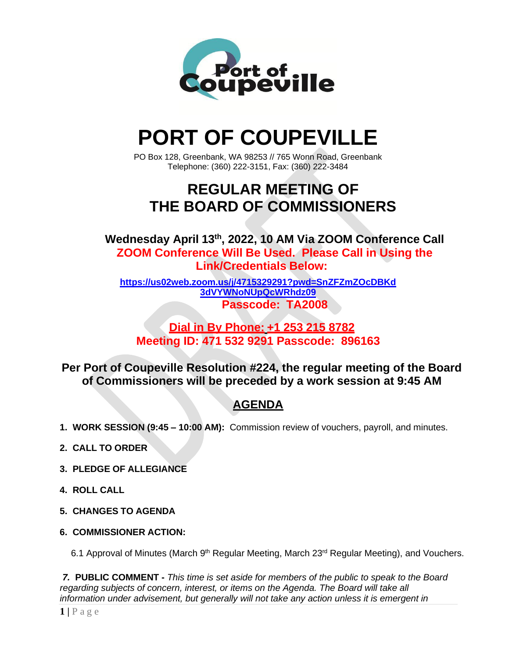

# **PORT OF COUPEVILLE**

PO Box 128, Greenbank, WA 98253 // 765 Wonn Road, Greenbank Telephone: (360) 222-3151, Fax: (360) 222-3484

# **REGULAR MEETING OF THE BOARD OF COMMISSIONERS**

**Wednesday April 13th , 2022, 10 AM Via ZOOM Conference Call ZOOM Conference Will Be Used. Please Call in Using the Link/Credentials Below:**

**[https://us02web.zoom.us/j/4715329291?pwd=SnZFZmZOcDBKd](https://us02web.zoom.us/j/4715329291?pwd=SnZFZmZOcDBKd3dVYWNoNUpQcWRhdz09) [3dVYWNoNUpQcWRhdz09](https://us02web.zoom.us/j/4715329291?pwd=SnZFZmZOcDBKd3dVYWNoNUpQcWRhdz09) Passcode: TA2008**

### **Dial in By Phone: +1 253 215 8782 Meeting ID: 471 532 9291 Passcode: 896163**

**Per Port of Coupeville Resolution #224, the regular meeting of the Board of Commissioners will be preceded by a work session at 9:45 AM**

## **AGENDA**

- **1. WORK SESSION (9:45 – 10:00 AM):** Commission review of vouchers, payroll, and minutes.
- **2. CALL TO ORDER**
- **3. PLEDGE OF ALLEGIANCE**
- **4. ROLL CALL**
- **5. CHANGES TO AGENDA**
- **6. COMMISSIONER ACTION:**

6.1 Approval of Minutes (March 9<sup>th</sup> Regular Meeting, March 23<sup>rd</sup> Regular Meeting), and Vouchers.

*7.* **PUBLIC COMMENT -** *This time is set aside for members of the public to speak to the Board regarding subjects of concern, interest, or items on the Agenda. The Board will take all information under advisement, but generally will not take any action unless it is emergent in*